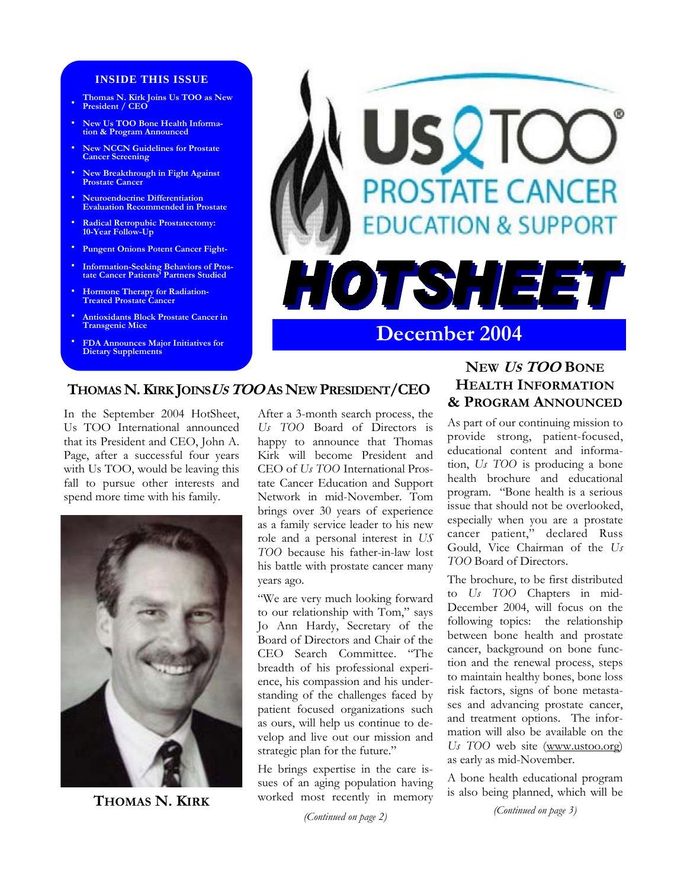#### **INSIDE THIS ISSUE**

- **Thomas N. Kirk Joins Us TOO as New President / CEO**
- **• New Us TOO Bone Health Information & Program Announced**
- **• New NCCN Guidelines for Prostate Cancer Screening**
- **• New Breakthrough in Fight Against Prostate Cancer**
- **• Neuroendocrine Differentiation Evaluation Recommended in Prostate**
- **• Radical Retropubic Prostatectomy: 10-Year Follow-Up**
- **• Pungent Onions Potent Cancer Fight-**
- **• Information-Seeking Behaviors of Pros-tate Cancer Patients' Partners Studied**
- **• Hormone Therapy for Radiation-Treated Prostate Cancer**
- **• Antioxidants Block Prostate Cancer in Transgenic Mice**
- **• FDA Announces Major Initiatives for Dietary Supplements**



## **THOMAS N. KIRK JOINS<sup>U</sup>S TOO AS NEW PRESIDENT/CEO**

In the September 2004 HotSheet, Us TOO International announced that its President and CEO, John A. Page, after a successful four years with Us TOO, would be leaving this fall to pursue other interests and spend more time with his family.



**THOMAS N. KIRK**

After a 3-month search process, the *Us TOO* Board of Directors is happy to announce that Thomas Kirk will become President and CEO of *Us TOO* International Prostate Cancer Education and Support Network in mid-November. Tom brings over 30 years of experience as a family service leader to his new role and a personal interest in *US TOO* because his father-in-law lost his battle with prostate cancer many years ago.

"We are very much looking forward to our relationship with Tom," says Jo Ann Hardy, Secretary of the Board of Directors and Chair of the CEO Search Committee. "The breadth of his professional experience, his compassion and his understanding of the challenges faced by patient focused organizations such as ours, will help us continue to develop and live out our mission and strategic plan for the future."

He brings expertise in the care issues of an aging population having worked most recently in memory

*(Continued on page 2)* 

# **NEW <sup>U</sup>S TOO BONE HEALTH INFORMATION & PROGRAM ANNOUNCED**

As part of our continuing mission to provide strong, patient-focused, educational content and information, *Us TOO* is producing a bone health brochure and educational program. "Bone health is a serious issue that should not be overlooked, especially when you are a prostate cancer patient," declared Russ Gould, Vice Chairman of the *Us TOO* Board of Directors.

The brochure, to be first distributed to *Us TOO* Chapters in mid-December 2004, will focus on the following topics: the relationship between bone health and prostate cancer, background on bone function and the renewal process, steps to maintain healthy bones, bone loss risk factors, signs of bone metastases and advancing prostate cancer, and treatment options. The information will also be available on the *Us TOO* web site (www.ustoo.org) as early as mid-November.

A bone health educational program is also being planned, which will be

*(Continued on page 3)*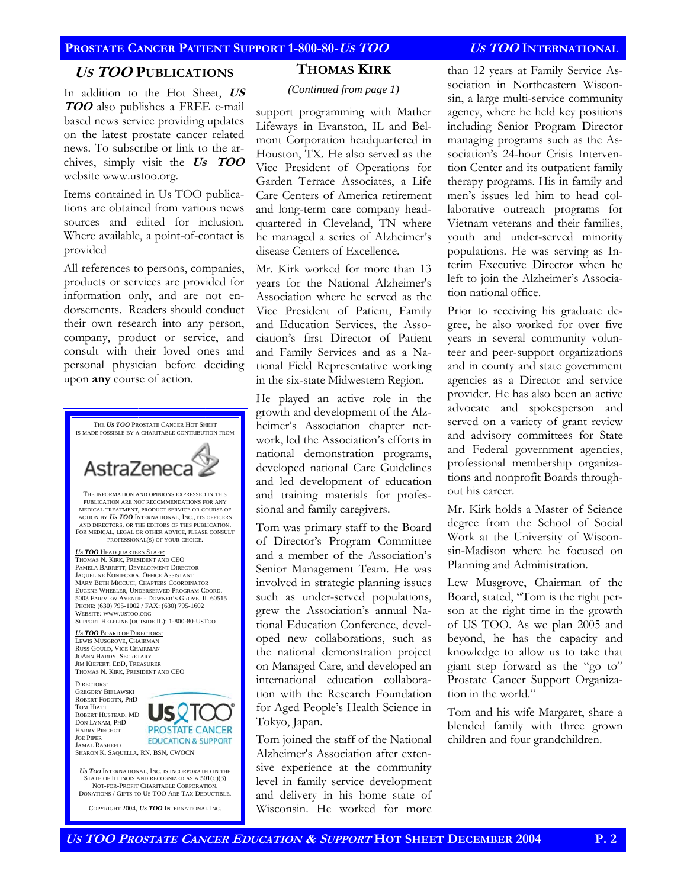### **<sup>U</sup>S TOO PUBLICATIONS**

In addition to the Hot Sheet, **US TOO** also publishes a FREE e-mail based news service providing updates on the latest prostate cancer related news. To subscribe or link to the archives, simply visit the **Us TOO** website www.ustoo.org.

Items contained in Us TOO publications are obtained from various news sources and edited for inclusion. Where available, a point-of-contact is provided

All references to persons, companies, products or services are provided for information only, and are not endorsements. Readers should conduct their own research into any person, company, product or service, and consult with their loved ones and personal physician before deciding upon **any** course of action.



### **THOMAS KIRK**

*(Continued from page 1)* 

support programming with Mather Lifeways in Evanston, IL and Belmont Corporation headquartered in Houston, TX. He also served as the Vice President of Operations for Garden Terrace Associates, a Life Care Centers of America retirement and long-term care company headquartered in Cleveland, TN where he managed a series of Alzheimer's disease Centers of Excellence.

Mr. Kirk worked for more than 13 years for the National Alzheimer's Association where he served as the Vice President of Patient, Family and Education Services, the Association's first Director of Patient and Family Services and as a National Field Representative working in the six-state Midwestern Region.

He played an active role in the growth and development of the Alzheimer's Association chapter network, led the Association's efforts in national demonstration programs, developed national Care Guidelines and led development of education and training materials for professional and family caregivers.

Tom was primary staff to the Board of Director's Program Committee and a member of the Association's Senior Management Team. He was involved in strategic planning issues such as under-served populations, grew the Association's annual National Education Conference, developed new collaborations, such as the national demonstration project on Managed Care, and developed an international education collaboration with the Research Foundation for Aged People's Health Science in Tokyo, Japan.

Tom joined the staff of the National Alzheimer's Association after extensive experience at the community level in family service development and delivery in his home state of Wisconsin. He worked for more

than 12 years at Family Service Association in Northeastern Wisconsin, a large multi-service community agency, where he held key positions including Senior Program Director managing programs such as the Association's 24-hour Crisis Intervention Center and its outpatient family therapy programs. His in family and men's issues led him to head collaborative outreach programs for Vietnam veterans and their families, youth and under-served minority populations. He was serving as Interim Executive Director when he left to join the Alzheimer's Association national office.

Prior to receiving his graduate degree, he also worked for over five years in several community volunteer and peer-support organizations and in county and state government agencies as a Director and service provider. He has also been an active advocate and spokesperson and served on a variety of grant review and advisory committees for State and Federal government agencies, professional membership organizations and nonprofit Boards throughout his career.

Mr. Kirk holds a Master of Science degree from the School of Social Work at the University of Wisconsin-Madison where he focused on Planning and Administration.

Lew Musgrove, Chairman of the Board, stated, "Tom is the right person at the right time in the growth of US TOO. As we plan 2005 and beyond, he has the capacity and knowledge to allow us to take that giant step forward as the "go to" Prostate Cancer Support Organization in the world."

Tom and his wife Margaret, share a blended family with three grown children and four grandchildren.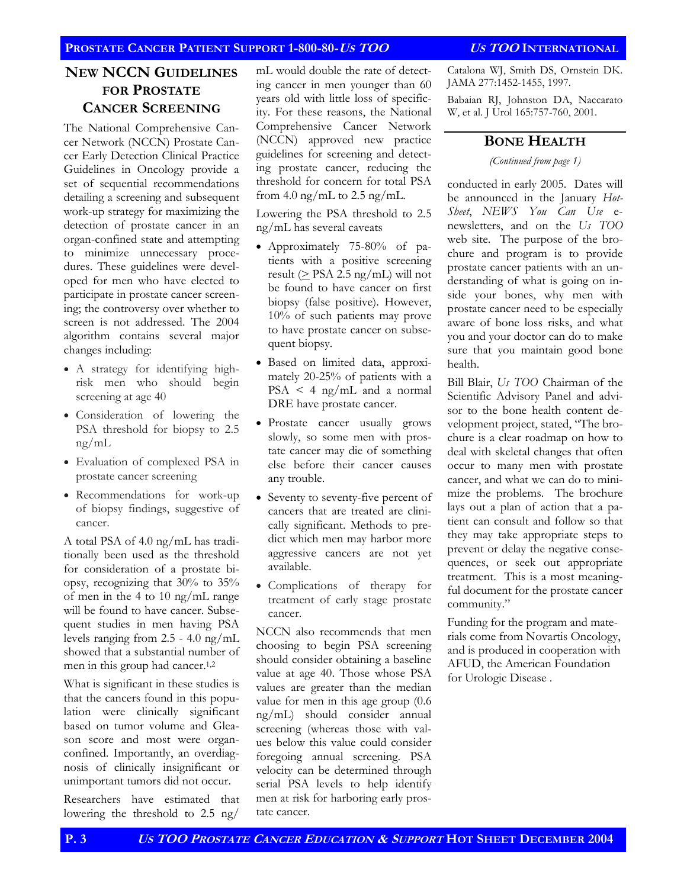### **PROSTATE CANCER PATIENT SUPPORT 1-800-80-US TOO US TOO INTERNATIONAL**

## **NEW NCCN GUIDELINES FOR PROSTATE CANCER SCREENING**

The National Comprehensive Cancer Network (NCCN) Prostate Cancer Early Detection Clinical Practice Guidelines in Oncology provide a set of sequential recommendations detailing a screening and subsequent work-up strategy for maximizing the detection of prostate cancer in an organ-confined state and attempting to minimize unnecessary procedures. These guidelines were developed for men who have elected to participate in prostate cancer screening; the controversy over whether to screen is not addressed. The 2004 algorithm contains several major changes including:

- A strategy for identifying highrisk men who should begin screening at age 40
- Consideration of lowering the PSA threshold for biopsy to 2.5 ng/mL
- Evaluation of complexed PSA in prostate cancer screening
- Recommendations for work-up of biopsy findings, suggestive of cancer.

A total PSA of 4.0 ng/mL has traditionally been used as the threshold for consideration of a prostate biopsy, recognizing that 30% to 35% of men in the 4 to 10 ng/mL range will be found to have cancer. Subsequent studies in men having PSA levels ranging from 2.5 - 4.0 ng/mL showed that a substantial number of men in this group had cancer.1,2

What is significant in these studies is that the cancers found in this population were clinically significant based on tumor volume and Gleason score and most were organconfined. Importantly, an overdiagnosis of clinically insignificant or unimportant tumors did not occur.

Researchers have estimated that lowering the threshold to 2.5 ng/

mL would double the rate of detecting cancer in men younger than 60 years old with little loss of specificity. For these reasons, the National Comprehensive Cancer Network (NCCN) approved new practice guidelines for screening and detecting prostate cancer, reducing the threshold for concern for total PSA from 4.0 ng/mL to 2.5 ng/mL.

Lowering the PSA threshold to 2.5 ng/mL has several caveats

- Approximately 75-80% of patients with a positive screening result ( $\geq$  PSA 2.5 ng/mL) will not be found to have cancer on first biopsy (false positive). However, 10% of such patients may prove to have prostate cancer on subsequent biopsy.
- Based on limited data, approximately 20-25% of patients with a PSA < 4 ng/mL and a normal DRE have prostate cancer.
- Prostate cancer usually grows slowly, so some men with prostate cancer may die of something else before their cancer causes any trouble.
- Seventy to seventy-five percent of cancers that are treated are clinically significant. Methods to predict which men may harbor more aggressive cancers are not yet available.
- Complications of therapy for treatment of early stage prostate cancer.

NCCN also recommends that men choosing to begin PSA screening should consider obtaining a baseline value at age 40. Those whose PSA values are greater than the median value for men in this age group (0.6 ng/mL) should consider annual screening (whereas those with values below this value could consider foregoing annual screening. PSA velocity can be determined through serial PSA levels to help identify men at risk for harboring early prostate cancer.

Catalona WJ, Smith DS, Ornstein DK. JAMA 277:1452-1455, 1997.

Babaian RJ, Johnston DA, Naccarato W, et al. J Urol 165:757-760, 2001.

## **BONE HEALTH**

*(Continued from page 1)* 

conducted in early 2005. Dates will be announced in the January *Hot-Sheet*, *NEWS You Can Use* enewsletters, and on the *Us TOO*  web site. The purpose of the brochure and program is to provide prostate cancer patients with an understanding of what is going on inside your bones, why men with prostate cancer need to be especially aware of bone loss risks, and what you and your doctor can do to make sure that you maintain good bone health.

Bill Blair, *Us TOO* Chairman of the Scientific Advisory Panel and advisor to the bone health content development project, stated, "The brochure is a clear roadmap on how to deal with skeletal changes that often occur to many men with prostate cancer, and what we can do to minimize the problems. The brochure lays out a plan of action that a patient can consult and follow so that they may take appropriate steps to prevent or delay the negative consequences, or seek out appropriate treatment. This is a most meaningful document for the prostate cancer community."

Funding for the program and materials come from Novartis Oncology, and is produced in cooperation with AFUD, the American Foundation for Urologic Disease .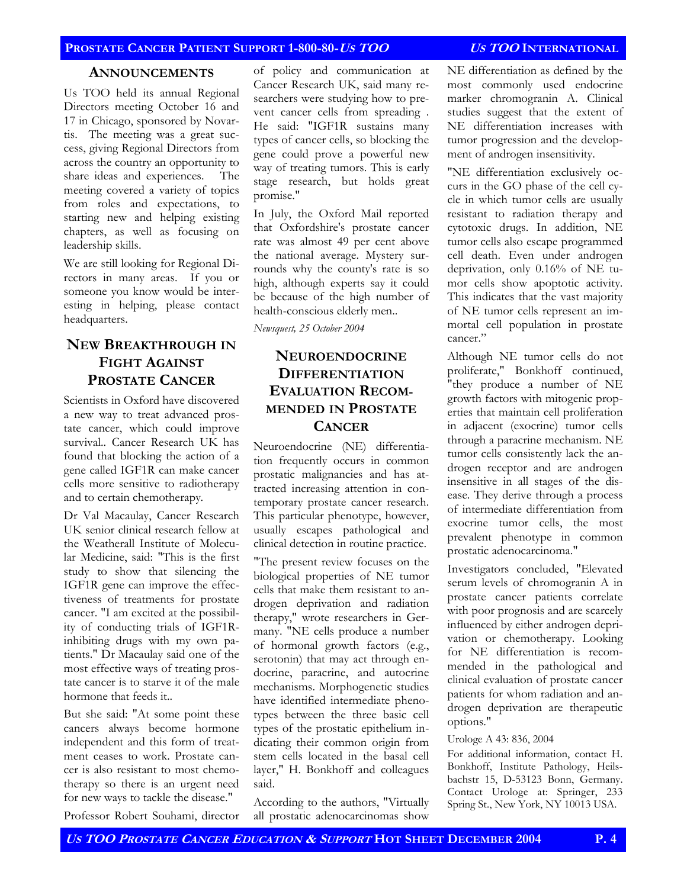### **ANNOUNCEMENTS**

Us TOO held its annual Regional Directors meeting October 16 and 17 in Chicago, sponsored by Novartis. The meeting was a great success, giving Regional Directors from across the country an opportunity to share ideas and experiences. The meeting covered a variety of topics from roles and expectations, to starting new and helping existing chapters, as well as focusing on leadership skills.

We are still looking for Regional Directors in many areas. If you or someone you know would be interesting in helping, please contact headquarters.

# **NEW BREAKTHROUGH IN FIGHT AGAINST PROSTATE CANCER**

Scientists in Oxford have discovered a new way to treat advanced prostate cancer, which could improve survival.. Cancer Research UK has found that blocking the action of a gene called IGF1R can make cancer cells more sensitive to radiotherapy and to certain chemotherapy.

Dr Val Macaulay, Cancer Research UK senior clinical research fellow at the Weatherall Institute of Molecular Medicine, said: "This is the first study to show that silencing the IGF1R gene can improve the effectiveness of treatments for prostate cancer. "I am excited at the possibility of conducting trials of IGF1Rinhibiting drugs with my own patients." Dr Macaulay said one of the most effective ways of treating prostate cancer is to starve it of the male hormone that feeds it..

But she said: "At some point these cancers always become hormone independent and this form of treatment ceases to work. Prostate cancer is also resistant to most chemotherapy so there is an urgent need for new ways to tackle the disease."

Professor Robert Souhami, director

of policy and communication at Cancer Research UK, said many researchers were studying how to prevent cancer cells from spreading . He said: "IGF1R sustains many types of cancer cells, so blocking the gene could prove a powerful new way of treating tumors. This is early stage research, but holds great promise."

In July, the Oxford Mail reported that Oxfordshire's prostate cancer rate was almost 49 per cent above the national average. Mystery surrounds why the county's rate is so high, although experts say it could be because of the high number of health-conscious elderly men..

*Newsquest, 25 October 2004* 

# **NEUROENDOCRINE DIFFERENTIATION EVALUATION RECOM-MENDED IN PROSTATE CANCER**

Neuroendocrine (NE) differentiation frequently occurs in common prostatic malignancies and has attracted increasing attention in contemporary prostate cancer research. This particular phenotype, however, usually escapes pathological and clinical detection in routine practice.

"The present review focuses on the biological properties of NE tumor cells that make them resistant to androgen deprivation and radiation therapy," wrote researchers in Germany. "NE cells produce a number of hormonal growth factors (e.g., serotonin) that may act through endocrine, paracrine, and autocrine mechanisms. Morphogenetic studies have identified intermediate phenotypes between the three basic cell types of the prostatic epithelium indicating their common origin from stem cells located in the basal cell layer," H. Bonkhoff and colleagues said.

According to the authors, "Virtually all prostatic adenocarcinomas show

NE differentiation as defined by the most commonly used endocrine marker chromogranin A. Clinical studies suggest that the extent of NE differentiation increases with tumor progression and the development of androgen insensitivity.

"NE differentiation exclusively occurs in the GO phase of the cell cycle in which tumor cells are usually resistant to radiation therapy and cytotoxic drugs. In addition, NE tumor cells also escape programmed cell death. Even under androgen deprivation, only 0.16% of NE tumor cells show apoptotic activity. This indicates that the vast majority of NE tumor cells represent an immortal cell population in prostate cancer."

Although NE tumor cells do not proliferate," Bonkhoff continued, "they produce a number of NE growth factors with mitogenic properties that maintain cell proliferation in adjacent (exocrine) tumor cells through a paracrine mechanism. NE tumor cells consistently lack the androgen receptor and are androgen insensitive in all stages of the disease. They derive through a process of intermediate differentiation from exocrine tumor cells, the most prevalent phenotype in common prostatic adenocarcinoma."

Investigators concluded, "Elevated serum levels of chromogranin A in prostate cancer patients correlate with poor prognosis and are scarcely influenced by either androgen deprivation or chemotherapy. Looking for NE differentiation is recommended in the pathological and clinical evaluation of prostate cancer patients for whom radiation and androgen deprivation are therapeutic options."

#### Urologe A 43: 836, 2004

For additional information, contact H. Bonkhoff, Institute Pathology, Heilsbachstr 15, D-53123 Bonn, Germany. Contact Urologe at: Springer, 233 Spring St., New York, NY 10013 USA.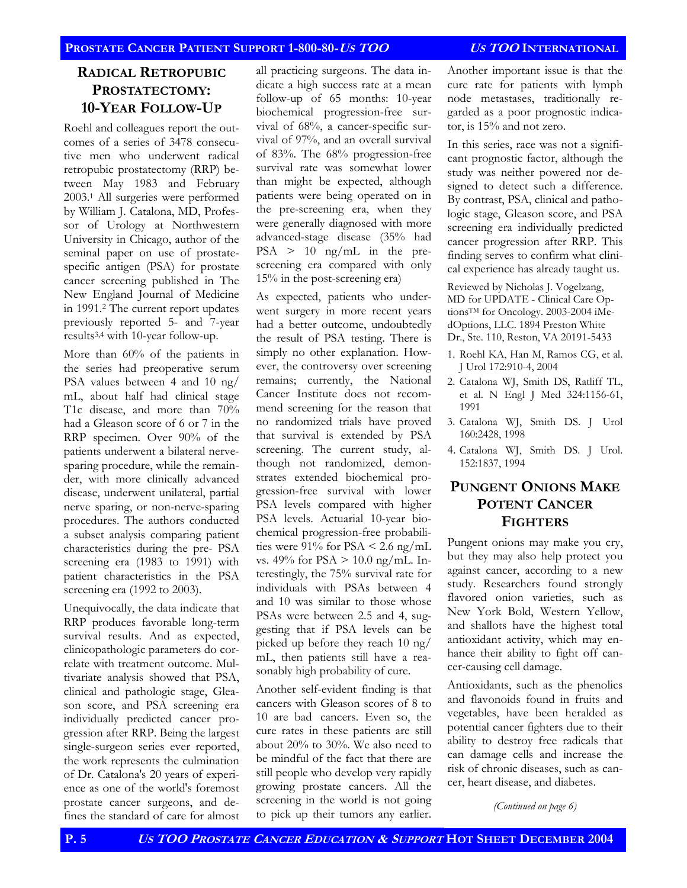## **RADICAL RETROPUBIC PROSTATECTOMY: 10-YEAR FOLLOW-UP**

Roehl and colleagues report the outcomes of a series of 3478 consecutive men who underwent radical retropubic prostatectomy (RRP) between May 1983 and February 2003.1 All surgeries were performed by William J. Catalona, MD, Professor of Urology at Northwestern University in Chicago, author of the seminal paper on use of prostatespecific antigen (PSA) for prostate cancer screening published in The New England Journal of Medicine in 1991.2 The current report updates previously reported 5- and 7-year results3,4 with 10-year follow-up.

More than 60% of the patients in the series had preoperative serum PSA values between 4 and 10 ng/ mL, about half had clinical stage T1c disease, and more than 70% had a Gleason score of 6 or 7 in the RRP specimen. Over 90% of the patients underwent a bilateral nervesparing procedure, while the remainder, with more clinically advanced disease, underwent unilateral, partial nerve sparing, or non-nerve-sparing procedures. The authors conducted a subset analysis comparing patient characteristics during the pre- PSA screening era (1983 to 1991) with patient characteristics in the PSA screening era (1992 to 2003).

Unequivocally, the data indicate that RRP produces favorable long-term survival results. And as expected, clinicopathologic parameters do correlate with treatment outcome. Multivariate analysis showed that PSA, clinical and pathologic stage, Gleason score, and PSA screening era individually predicted cancer progression after RRP. Being the largest single-surgeon series ever reported, the work represents the culmination of Dr. Catalona's 20 years of experience as one of the world's foremost prostate cancer surgeons, and defines the standard of care for almost all practicing surgeons. The data indicate a high success rate at a mean follow-up of 65 months: 10-year biochemical progression-free survival of 68%, a cancer-specific survival of 97%, and an overall survival of 83%. The 68% progression-free survival rate was somewhat lower than might be expected, although patients were being operated on in the pre-screening era, when they were generally diagnosed with more advanced-stage disease (35% had PSA > 10 ng/mL in the prescreening era compared with only 15% in the post-screening era)

As expected, patients who underwent surgery in more recent years had a better outcome, undoubtedly the result of PSA testing. There is simply no other explanation. However, the controversy over screening remains; currently, the National Cancer Institute does not recommend screening for the reason that no randomized trials have proved that survival is extended by PSA screening. The current study, although not randomized, demonstrates extended biochemical progression-free survival with lower PSA levels compared with higher PSA levels. Actuarial 10-year biochemical progression-free probabilities were  $91\%$  for PSA < 2.6 ng/mL vs. 49% for PSA > 10.0 ng/mL. Interestingly, the 75% survival rate for individuals with PSAs between 4 and 10 was similar to those whose PSAs were between 2.5 and 4, suggesting that if PSA levels can be picked up before they reach 10 ng/ mL, then patients still have a reasonably high probability of cure.

Another self-evident finding is that cancers with Gleason scores of 8 to 10 are bad cancers. Even so, the cure rates in these patients are still about 20% to 30%. We also need to be mindful of the fact that there are still people who develop very rapidly growing prostate cancers. All the screening in the world is not going to pick up their tumors any earlier.

Another important issue is that the cure rate for patients with lymph node metastases, traditionally regarded as a poor prognostic indicator, is 15% and not zero.

In this series, race was not a significant prognostic factor, although the study was neither powered nor designed to detect such a difference. By contrast, PSA, clinical and pathologic stage, Gleason score, and PSA screening era individually predicted cancer progression after RRP. This finding serves to confirm what clinical experience has already taught us.

Reviewed by Nicholas J. Vogelzang, MD for UPDATE - Clinical Care OptionsTM for Oncology. 2003-2004 iMedOptions, LLC. 1894 Preston White Dr., Ste. 110, Reston, VA 20191-5433

- 1. Roehl KA, Han M, Ramos CG, et al. J Urol 172:910-4, 2004
- 2. Catalona WJ, Smith DS, Ratliff TL, et al. N Engl J Med 324:1156-61, 1991
- 3. Catalona WJ, Smith DS. J Urol 160:2428, 1998
- 4. Catalona WJ, Smith DS. J Urol. 152:1837, 1994

# **PUNGENT ONIONS MAKE POTENT CANCER FIGHTERS**

Pungent onions may make you cry, but they may also help protect you against cancer, according to a new study. Researchers found strongly flavored onion varieties, such as New York Bold, Western Yellow, and shallots have the highest total antioxidant activity, which may enhance their ability to fight off cancer-causing cell damage.

Antioxidants, such as the phenolics and flavonoids found in fruits and vegetables, have been heralded as potential cancer fighters due to their ability to destroy free radicals that can damage cells and increase the risk of chronic diseases, such as cancer, heart disease, and diabetes.

*(Continued on page 6)*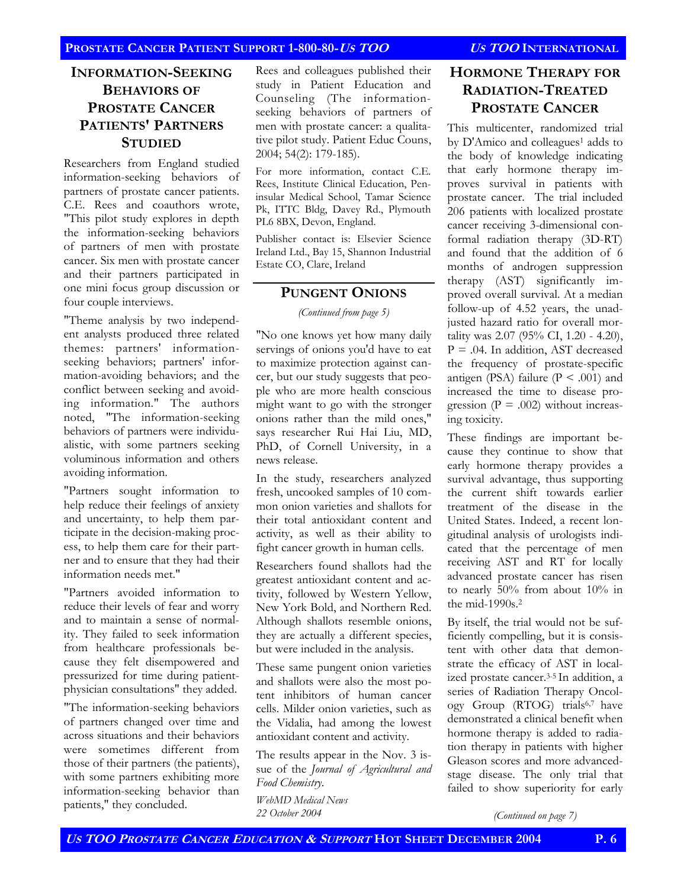## **INFORMATION-SEEKING BEHAVIORS OF PROSTATE CANCER PATIENTS' PARTNERS STUDIED**

Researchers from England studied information-seeking behaviors of partners of prostate cancer patients. C.E. Rees and coauthors wrote, "This pilot study explores in depth the information-seeking behaviors of partners of men with prostate cancer. Six men with prostate cancer and their partners participated in one mini focus group discussion or four couple interviews.

"Theme analysis by two independent analysts produced three related themes: partners' informationseeking behaviors; partners' information-avoiding behaviors; and the conflict between seeking and avoiding information." The authors noted, "The information-seeking behaviors of partners were individualistic, with some partners seeking voluminous information and others avoiding information.

"Partners sought information to help reduce their feelings of anxiety and uncertainty, to help them participate in the decision-making process, to help them care for their partner and to ensure that they had their information needs met."

"Partners avoided information to reduce their levels of fear and worry and to maintain a sense of normality. They failed to seek information from healthcare professionals because they felt disempowered and pressurized for time during patientphysician consultations" they added.

"The information-seeking behaviors of partners changed over time and across situations and their behaviors were sometimes different from those of their partners (the patients), with some partners exhibiting more information-seeking behavior than patients," they concluded.

Rees and colleagues published their study in Patient Education and Counseling (The informationseeking behaviors of partners of men with prostate cancer: a qualitative pilot study. Patient Educ Couns, 2004; 54(2): 179-185).

For more information, contact C.E. Rees, Institute Clinical Education, Peninsular Medical School, Tamar Science Pk, ITTC Bldg, Davey Rd., Plymouth PL6 8BX, Devon, England.

Publisher contact is: Elsevier Science Ireland Ltd., Bay 15, Shannon Industrial Estate CO, Clare, Ireland

#### **PUNGENT ONIONS**

*(Continued from page 5)* 

"No one knows yet how many daily servings of onions you'd have to eat to maximize protection against cancer, but our study suggests that people who are more health conscious might want to go with the stronger onions rather than the mild ones," says researcher Rui Hai Liu, MD, PhD, of Cornell University, in a news release.

In the study, researchers analyzed fresh, uncooked samples of 10 common onion varieties and shallots for their total antioxidant content and activity, as well as their ability to fight cancer growth in human cells.

Researchers found shallots had the greatest antioxidant content and activity, followed by Western Yellow, New York Bold, and Northern Red. Although shallots resemble onions, they are actually a different species, but were included in the analysis.

These same pungent onion varieties and shallots were also the most potent inhibitors of human cancer cells. Milder onion varieties, such as the Vidalia, had among the lowest antioxidant content and activity.

The results appear in the Nov. 3 issue of the *Journal of Agricultural and Food Chemistry*.

*WebMD Medical News 22 October 2004* 

## **HORMONE THERAPY FOR RADIATION-TREATED PROSTATE CANCER**

This multicenter, randomized trial by D'Amico and colleagues<sup>1</sup> adds to the body of knowledge indicating that early hormone therapy improves survival in patients with prostate cancer. The trial included 206 patients with localized prostate cancer receiving 3-dimensional conformal radiation therapy (3D-RT) and found that the addition of 6 months of androgen suppression therapy (AST) significantly improved overall survival. At a median follow-up of 4.52 years, the unadjusted hazard ratio for overall mortality was 2.07 (95% CI, 1.20 - 4.20),  $P = .04$ . In addition, AST decreased the frequency of prostate-specific antigen (PSA) failure ( $P < .001$ ) and increased the time to disease progression ( $P = .002$ ) without increasing toxicity.

These findings are important because they continue to show that early hormone therapy provides a survival advantage, thus supporting the current shift towards earlier treatment of the disease in the United States. Indeed, a recent longitudinal analysis of urologists indicated that the percentage of men receiving AST and RT for locally advanced prostate cancer has risen to nearly 50% from about 10% in the mid-1990s.2

By itself, the trial would not be sufficiently compelling, but it is consistent with other data that demonstrate the efficacy of AST in localized prostate cancer.3-5 In addition, a series of Radiation Therapy Oncology Group (RTOG) trials6,7 have demonstrated a clinical benefit when hormone therapy is added to radiation therapy in patients with higher Gleason scores and more advancedstage disease. The only trial that failed to show superiority for early

*(Continued on page 7)*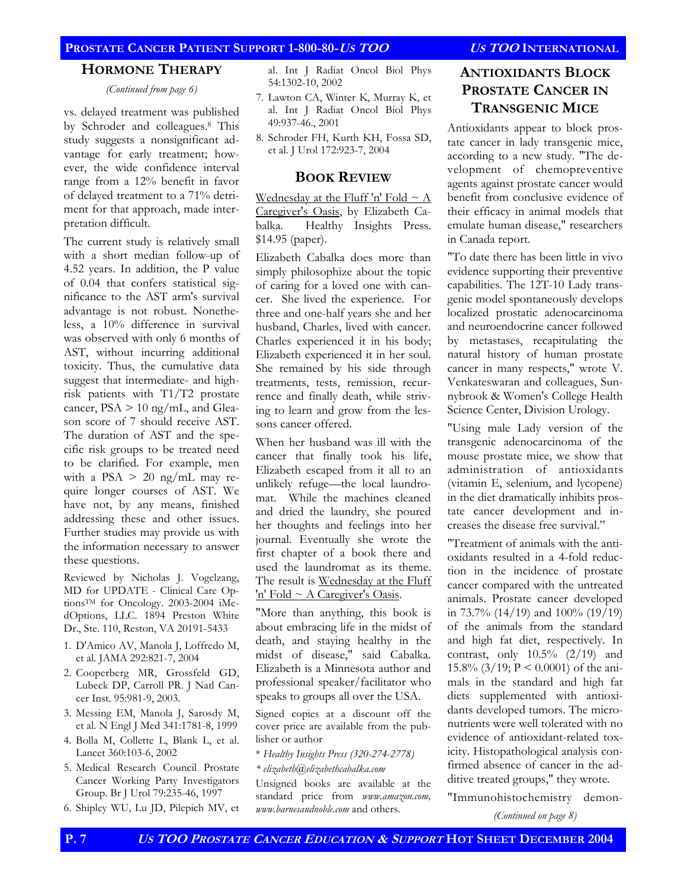### **PROSTATE CANCER PATIENT SUPPORT 1-800-80-US TOO US TOO INTERNATIONAL**

#### **HORMONE THERAPY**

*(Continued from page 6)* 

vs. delayed treatment was published by Schroder and colleagues.8 This study suggests a nonsignificant advantage for early treatment; however, the wide confidence interval range from a 12% benefit in favor of delayed treatment to a 71% detriment for that approach, made interpretation difficult.

The current study is relatively small with a short median follow-up of 4.52 years. In addition, the P value of 0.04 that confers statistical significance to the AST arm's survival advantage is not robust. Nonetheless, a 10% difference in survival was observed with only 6 months of AST, without incurring additional toxicity. Thus, the cumulative data suggest that intermediate- and highrisk patients with T1/T2 prostate cancer,  $PSA > 10$  ng/mL, and Gleason score of 7 should receive AST. The duration of AST and the specific risk groups to be treated need to be clarified. For example, men with a PSA  $> 20$  ng/mL may require longer courses of AST. We have not, by any means, finished addressing these and other issues. Further studies may provide us with the information necessary to answer these questions.

Reviewed by Nicholas J. Vogelzang, MD for UPDATE - Clinical Care OptionsTM for Oncology. 2003-2004 iMedOptions, LLC. 1894 Preston White Dr., Ste. 110, Reston, VA 20191-5433

- 1. D'Amico AV, Manola J, Loffredo M, et al. JAMA 292:821-7, 2004
- 2. Cooperberg MR, Grossfeld GD, Lubeck DP, Carroll PR. J Natl Cancer Inst. 95:981-9, 2003.
- 3. Messing EM, Manola J, Sarosdy M, et al. N Engl J Med 341:1781-8, 1999
- 4. Bolla M, Collette L, Blank L, et al. Lancet 360:103-6, 2002
- 5. Medical Research Council Prostate Cancer Working Party Investigators Group. Br J Urol 79:235-46, 1997
- 6. Shipley WU, Lu JD, Pilepich MV, et

al. Int J Radiat Oncol Biol Phys 54:1302-10, 2002

- 7. Lawton CA, Winter K, Murray K, et al. Int J Radiat Oncol Biol Phys 49:937-46., 2001
- 8. Schroder FH, Kurth KH, Fossa SD, et al. J Urol 172:923-7, 2004

#### **BOOK REVIEW**

Wednesday at the Fluff 'n' Fold  $\sim$  A Caregiver's Oasis, by Elizabeth Cabalka. Healthy Insights Press. \$14.95 (paper).

Elizabeth Cabalka does more than simply philosophize about the topic of caring for a loved one with cancer. She lived the experience. For three and one-half years she and her husband, Charles, lived with cancer. Charles experienced it in his body; Elizabeth experienced it in her soul. She remained by his side through treatments, tests, remission, recurrence and finally death, while striving to learn and grow from the lessons cancer offered.

When her husband was ill with the cancer that finally took his life, Elizabeth escaped from it all to an unlikely refuge—the local laundromat. While the machines cleaned and dried the laundry, she poured her thoughts and feelings into her journal. Eventually she wrote the first chapter of a book there and used the laundromat as its theme. The result is Wednesday at the Fluff 'n' Fold ~ A Caregiver's Oasis.

"More than anything, this book is about embracing life in the midst of death, and staying healthy in the midst of disease," said Cabalka. Elizabeth is a Minnesota author and professional speaker/facilitator who speaks to groups all over the USA.

Signed copies at a discount off the cover price are available from the publisher or author

- \* *Healthy Insights Press (320-274-2778)*
- *\* elizabeth@elizabethcabalka.com*

Unsigned books are available at the standard price from *www.amazon.com, www.barnesandnoble.com* and others.

## **ANTIOXIDANTS BLOCK PROSTATE CANCER IN TRANSGENIC MICE**

Antioxidants appear to block prostate cancer in lady transgenic mice, according to a new study. "The development of chemopreventive agents against prostate cancer would benefit from conclusive evidence of their efficacy in animal models that emulate human disease," researchers in Canada report.

"To date there has been little in vivo evidence supporting their preventive capabilities. The 12T-10 Lady transgenic model spontaneously develops localized prostatic adenocarcinoma and neuroendocrine cancer followed by metastases, recapitulating the natural history of human prostate cancer in many respects," wrote V. Venkateswaran and colleagues, Sunnybrook & Women's College Health Science Center, Division Urology.

"Using male Lady version of the transgenic adenocarcinoma of the mouse prostate mice, we show that administration of antioxidants (vitamin E, selenium, and lycopene) in the diet dramatically inhibits prostate cancer development and increases the disease free survival."

"Treatment of animals with the antioxidants resulted in a 4-fold reduction in the incidence of prostate cancer compared with the untreated animals. Prostate cancer developed in 73.7% (14/19) and  $100\%$  (19/19) of the animals from the standard and high fat diet, respectively. In contrast, only 10.5% (2/19) and 15.8% (3/19; P < 0.0001) of the animals in the standard and high fat diets supplemented with antioxidants developed tumors. The micronutrients were well tolerated with no evidence of antioxidant-related toxicity. Histopathological analysis confirmed absence of cancer in the additive treated groups," they wrote.

"Immunohistochemistry demon-

*(Continued on page 8)*